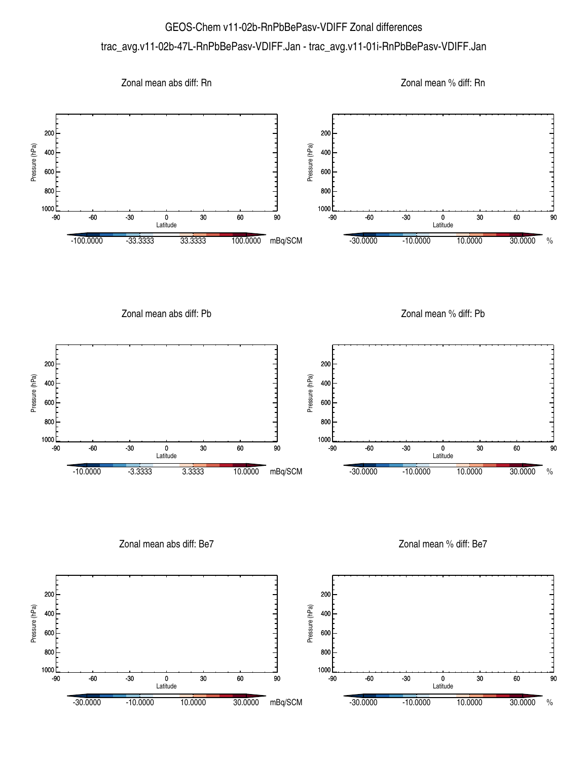## GEOS-Chem v11-02b-RnPbBePasv-VDIFF Zonal differences trac\_avg.v11-02b-47L-RnPbBePasv-VDIFF.Jan - trac\_avg.v11-01i-RnPbBePasv-VDIFF.Jan